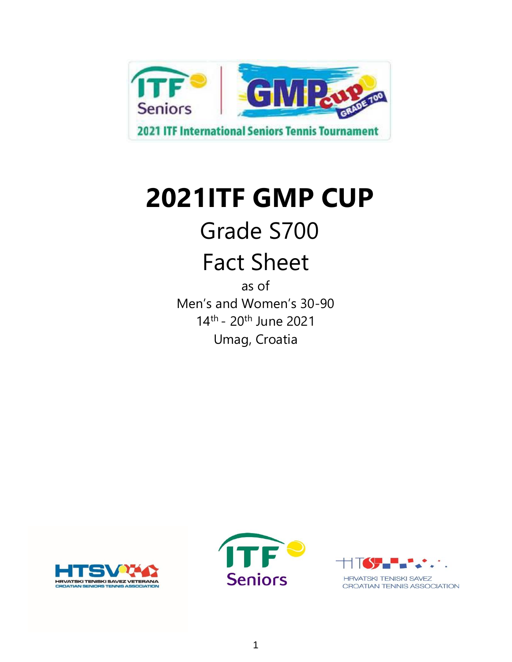

## Grade S700

## Fact Sheet

as of Men's and Women's 30-90 14<sup>th</sup> - 20<sup>th</sup> June 2021 Umag, Croatia





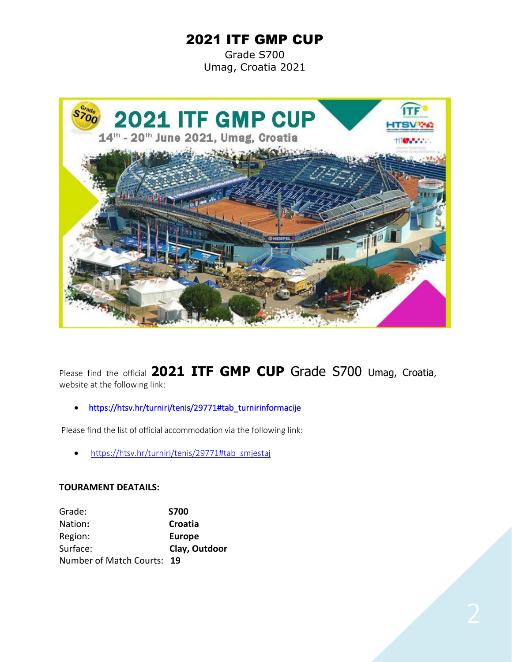Grade S700 Umag, Croatia 2021



Please find the official **2021 ITF GMP CUP** Grade S700 Umag, Croatia, website at the following link:

• [https://htsv.hr/turniri/tenis/29771#tab\\_turnirinformacije](https://htsv.hr/turniri/tenis/29771#tab_turnirinformacije) 

Please find the list of official accommodation via the following link:

• [https://htsv.hr/turniri/tenis/29771#tab\\_smjestaj](https://htsv.hr/turniri/tenis/29771#tab_smjestaj)

#### **TOURAMENT DEATAILS:**

| Grade:                     | <b>S700</b>   |
|----------------------------|---------------|
| Nation:                    | Croatia       |
| Region:                    | <b>Europe</b> |
| Surface:                   | Clay, Outdoor |
| Number of Match Courts: 19 |               |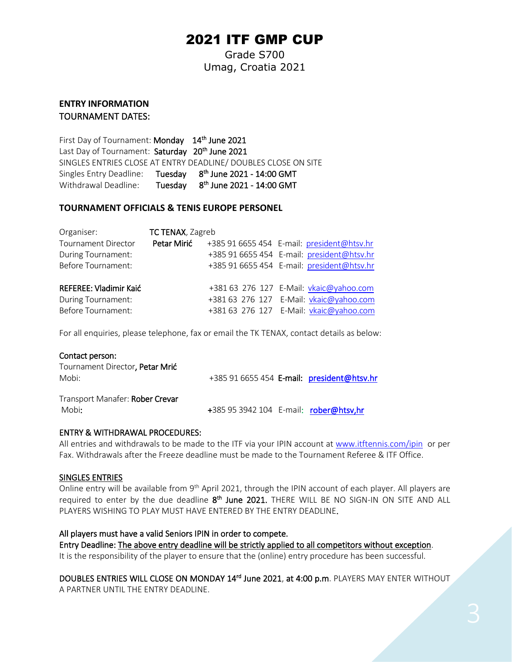Grade S700 Umag, Croatia 2021

#### **ENTRY INFORMATION** TOURNAMENT DATES:

First Day of Tournament: Monday 14<sup>th</sup> June 2021 Last Day of Tournament: Saturday 20<sup>th</sup> June 2021 SINGLES ENTRIES CLOSE AT ENTRY DEADLINE/ DOUBLES CLOSE ON SITE Singles Entry Deadline: Tuesday 8<sup>th</sup> June 2021 - 14:00 GMT Withdrawal Deadline: th June 2021 - 14:00 GMT

#### **TOURNAMENT OFFICIALS & TENIS EUROPE PERSONEL**

| Organiser:                 | <b>TC TENAX, Zagreb</b> |                                            |
|----------------------------|-------------------------|--------------------------------------------|
| <b>Tournament Director</b> | Petar Mirić             | +385 91 6655 454 E-mail: president@htsv.hr |
| During Tournament:         |                         | +385 91 6655 454 E-mail: president@htsv.hr |
| <b>Before Tournament:</b>  |                         | +385 91 6655 454 E-mail: president@htsv.hr |
| REFEREE: Vladimir Kaić     |                         | +381 63 276 127 E-Mail: vkaic@yahoo.com    |
| During Tournament:         |                         | +381 63 276 127 E-Mail: vkaic@yahoo.com    |
| <b>Before Tournament:</b>  |                         | +381 63 276 127 E-Mail: vkaic@yahoo.com    |

For all enquiries, please telephone, fax or email the TK TENAX, contact details as below:

| Contact person:                 |                                            |
|---------------------------------|--------------------------------------------|
| Tournament Director, Petar Mrić |                                            |
| Mobi:                           | +385 91 6655 454 E-mail: president@htsv.hr |
| Transport Manafer: Rober Crevar |                                            |
| Mobi:                           | +385 95 3942 104 E-mail: rober@htsv,hr     |

#### ENTRY & WITHDRAWAL PROCEDURES:

All entries and withdrawals to be made to the ITF via your IPIN account at [www.itftennis.com/ipin](http://www.itftennis.com/ipin) or per Fax. Withdrawals after the Freeze deadline must be made to the Tournament Referee & ITF Office.

#### SINGLES ENTRIES

Online entry will be available from 9<sup>th</sup> April 2021, through the IPIN account of each player. All players are required to enter by the due deadline 8<sup>th</sup> June 2021. THERE WILL BE NO SIGN-IN ON SITE AND ALL PLAYERS WISHING TO PLAY MUST HAVE ENTERED BY THE ENTRY DEADLINE.

#### All players must have a valid Seniors IPIN in order to compete.

Entry Deadline: The above entry deadline will be strictly applied to all competitors without exception. It is the responsibility of the player to ensure that the (online) entry procedure has been successful.

DOUBLES ENTRIES WILL CLOSE ON MONDAY 14<sup>rd</sup> June 2021, at 4:00 p.m. PLAYERS MAY ENTER WITHOUT A PARTNER UNTIL THE ENTRY DEADLINE.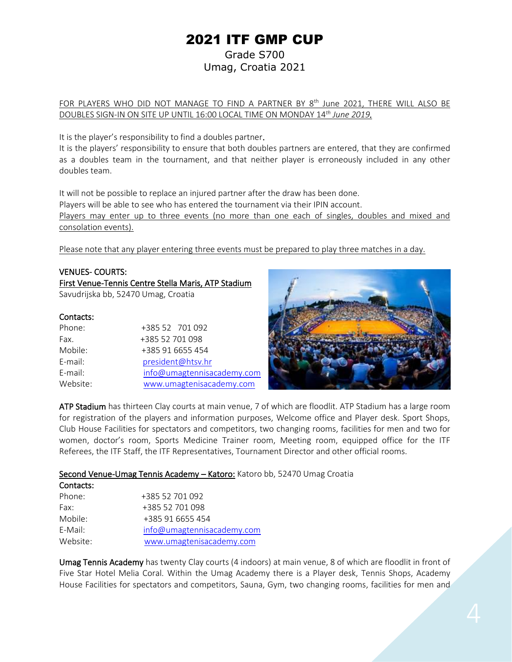Grade S700 Umag, Croatia 2021

<u>FOR PLAYERS WHO DID NOT MANAGE TO FIND A PARTNER BY 8<sup>th</sup> June 2021, THERE WILL ALSO BE</u> DOUBLES SIGN-IN ON SITE UP UNTIL 16:00 LOCAL TIME ON MONDAY 14*th June 2019.*

It is the player's responsibility to find a doubles partner.

It is the players' responsibility to ensure that both doubles partners are entered, that they are confirmed as a doubles team in the tournament, and that neither player is erroneously included in any other doubles team.

It will not be possible to replace an injured partner after the draw has been done. Players will be able to see who has entered the tournament via their IPIN account. Players may enter up to three events (no more than one each of singles, doubles and mixed and consolation events).

Please note that any player entering three events must be prepared to play three matches in a day.

#### VENUES- COURTS:

First Venue-Tennis Centre Stella Maris, ATP Stadium Savudrijska bb, 52470 Umag, Croatia

#### Contacts:

| Phone:   | +385 52 701 092            |
|----------|----------------------------|
| Fax.     | +385 52 701 098            |
| Mobile:  | +385 91 6655 454           |
| E-mail:  | president@htsv.hr          |
| E-mail:  | info@umagtennisacademy.com |
| Website: | www.umagtenisacademy.com   |



ATP Stadium has thirteen Clay courts at main venue, 7 of which are floodlit. ATP Stadium has a large room for registration of the players and information purposes, Welcome office and Player desk. Sport Shops, Club House Facilities for spectators and competitors, two changing rooms, facilities for men and two for women, doctor's room, Sports Medicine Trainer room, Meeting room, equipped office for the ITF Referees, the ITF Staff, the ITF Representatives, Tournament Director and other official rooms.

#### Second Venue-Umag Tennis Academy - Katoro: Katoro bb, 52470 Umag Croatia

| Contacts: |                            |
|-----------|----------------------------|
| Phone:    | +385 52 701 092            |
| Fax:      | +385 52 701 098            |
| Mobile:   | +385 91 6655 454           |
| $F-Mail:$ | info@umagtennisacademy.com |
| Website:  | www.umagtenisacademy.com   |

Umag Tennis Academy has twenty Clay courts (4 indoors) at main venue, 8 of which are floodlit in front of Five Star Hotel Melia Coral. Within the Umag Academy there is a Player desk, Tennis Shops, Academy House Facilities for spectators and competitors, Sauna, Gym, two changing rooms, facilities for men and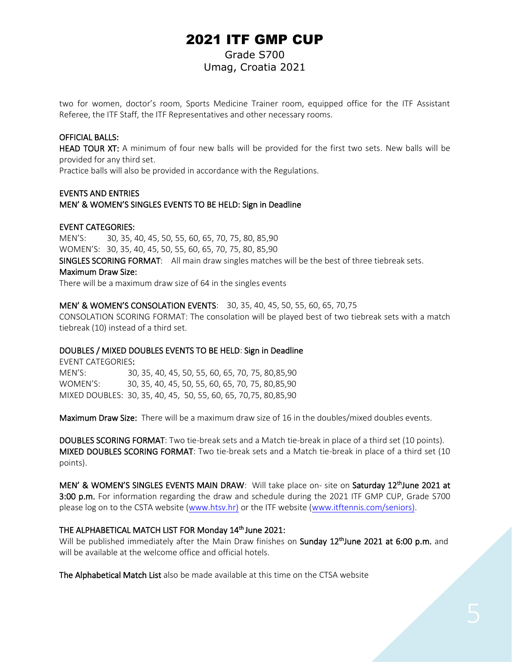#### Grade S700 Umag, Croatia 2021

two for women, doctor's room, Sports Medicine Trainer room, equipped office for the ITF Assistant Referee, the ITF Staff, the ITF Representatives and other necessary rooms.

#### OFFICIAL BALLS:

HEAD TOUR XT: A minimum of four new balls will be provided for the first two sets. New balls will be provided for any third set.

Practice balls will also be provided in accordance with the Regulations.

#### EVENTS AND ENTRIES MEN' & WOMEN'S SINGLES EVENTS TO BE HELD: Sign in Deadline

#### EVENT CATEGORIES:

MEN'S: 30, 35, 40, 45, 50, 55, 60, 65, 70, 75, 80, 85,90 WOMEN'S: 30, 35, 40, 45, 50, 55, 60, 65, 70, 75, 80, 85,90 SINGLES SCORING FORMAT: All main draw singles matches will be the best of three tiebreak sets. Maximum Draw Size: There will be a maximum draw size of 64 in the singles events

#### MEN' & WOMEN'S CONSOLATION EVENTS: 30, 35, 40, 45, 50, 55, 60, 65, 70,75

CONSOLATION SCORING FORMAT: The consolation will be played best of two tiebreak sets with a match tiebreak (10) instead of a third set.

#### DOUBLES / MIXED DOUBLES EVENTS TO BE HELD: Sign in Deadline

EVENT CATEGORIES: MEN'S: 30, 35, 40, 45, 50, 55, 60, 65, 70, 75, 80,85,90 WOMEN'S: 30, 35, 40, 45, 50, 55, 60, 65, 70, 75, 80,85,90 MIXED DOUBLES: 30, 35, 40, 45, 50, 55, 60, 65, 70,75, 80,85,90

Maximum Draw Size: There will be a maximum draw size of 16 in the doubles/mixed doubles events.

DOUBLES SCORING FORMAT: Two tie-break sets and a Match tie-break in place of a third set (10 points). MIXED DOUBLES SCORING FORMAT: Two tie-break sets and a Match tie-break in place of a third set (10 points).

MEN' & WOMEN'S SINGLES EVENTS MAIN DRAW: Will take place on- site on Saturday 12<sup>th</sup>June 2021 at 3:00 p.m. For information regarding the draw and schedule during the 2021 ITF GMP CUP, Grade S700 please log on to the CSTA website [\(www.htsv.hr\)](http://www.htsv.hr/) or the ITF website [\(www.itftennis.com/seniors\)](http://www.itftennis.com/seniors).

#### THE ALPHABETICAL MATCH LIST FOR Monday 14<sup>th</sup> June 2021:

Will be published immediately after the Main Draw finishes on Sunday 12<sup>th</sup>June 2021 at 6:00 p.m. and will be available at the welcome office and official hotels.

The Alphabetical Match List also be made available at this time on the CTSA website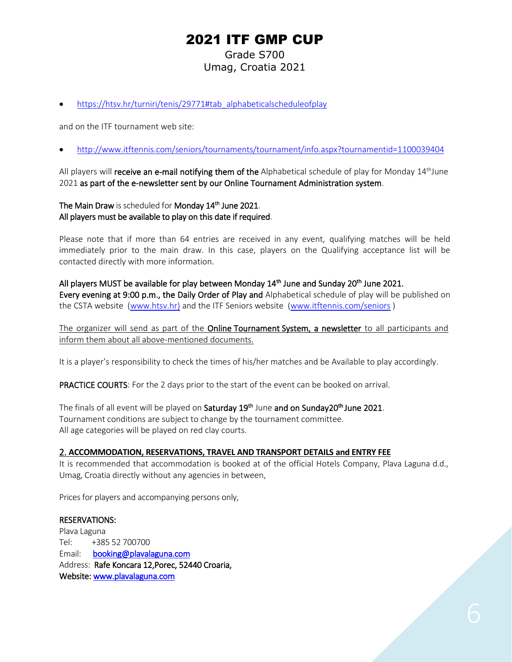Grade S700 Umag, Croatia 2021

• [https://htsv.hr/turniri/tenis/29771#tab\\_alphabeticalscheduleofplay](https://htsv.hr/turniri/tenis/29771#tab_alphabeticalscheduleofplay)

and on the ITF tournament web site:

• <http://www.itftennis.com/seniors/tournaments/tournament/info.aspx?tournamentid=1100039404>

All players will **receive an e-mail notifying them of the** Alphabetical schedule of play for Monday  $14<sup>th</sup>$ June 2021 as part of the e-newsletter sent by our Online Tournament Administration system.

#### The Main Draw is scheduled for Monday 14<sup>th</sup> June 2021. All players must be available to play on this date if required.

Please note that if more than 64 entries are received in any event, qualifying matches will be held immediately prior to the main draw. In this case, players on the Qualifying acceptance list will be contacted directly with more information.

All players MUST be available for play between Monday 14<sup>th</sup> June and Sunday 20<sup>th</sup> June 2021. Every evening at 9:00 p.m., the Daily Order of Play and Alphabetical schedule of play will be published on the CSTA website [\(www.htsv.hr\)](http://www.htsv.hr/) and the ITF Seniors website [\(www.itftennis.com/seniors](http://www.itftennis.com/seniors) )

The organizer will send as part of the **Online Tournament System, a newsletter** to all participants and inform them about all above-mentioned documents.

It is a player's responsibility to check the times of his/her matches and be Available to play accordingly.

PRACTICE COURTS: For the 2 days prior to the start of the event can be booked on arrival.

The finals of all event will be played on Saturday 19<sup>th</sup> June and on Sunday20<sup>th</sup> June 2021. Tournament conditions are subject to change by the tournament committee. All age categories will be played on red clay courts.

#### 2. **ACCOMMODATION, RESERVATIONS, TRAVEL AND TRANSPORT DETAILS and ENTRY FEE**

It is recommended that accommodation is booked at of the official Hotels Company, Plava Laguna d.d., Umag, Croatia directly without any agencies in between,

Prices for players and accompanying persons only,

#### RESERVATIONS:

Plava Laguna Tel: +385 52 700700 Email: [booking@plavalaguna.com](mailto:booking@plavalaguna.com)  Address: Rafe Koncara 12,Porec, 52440 Croaria, Website[: www.plavalaguna.com](http://www.plavalaguna.com/)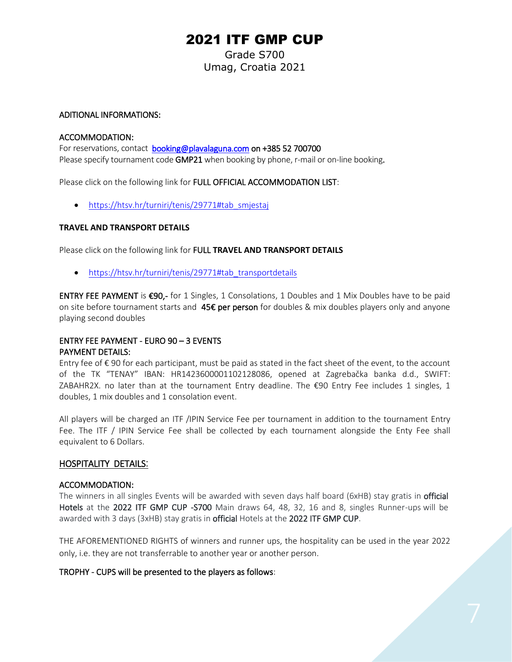Grade S700 Umag, Croatia 2021

#### ADITIONAL INFORMATIONS:

#### ACCOMMODATION:

For reservations, contact [booking@plavalaguna.com](mailto:booking@plavalaguna.com) on +385 52 700700 Please specify tournament code **GMP21** when booking by phone, r-mail or on-line booking.

Please click on the following link for FULL OFFICIAL ACCOMMODATION LIST:

• https://htsv.hr/turniri/tenis/29771#tab smjestaj

#### **TRAVEL AND TRANSPORT DETAILS**

Please click on the following link for FULL **TRAVEL AND TRANSPORT DETAILS**

• [https://htsv.hr/turniri/tenis/29771#tab\\_transportdetails](https://htsv.hr/turniri/tenis/29771#tab_transportdetails)

ENTRY FEE PAYMENT is €90,- for 1 Singles, 1 Consolations, 1 Doubles and 1 Mix Doubles have to be paid on site before tournament starts and 45€ per person for doubles & mix doubles players only and anyone playing second doubles

#### ENTRY FEE PAYMENT - EURO 90 – 3 EVENTS PAYMENT DETAILS:

Entry fee of € 90 for each participant, must be paid as stated in the fact sheet of the event, to the account of the TK "TENAY" IBAN: HR1423600001102128086, opened at Zagrebačka banka d.d., SWIFT: ZABAHR2X. no later than at the tournament Entry deadline. The €90 Entry Fee includes 1 singles, 1 doubles, 1 mix doubles and 1 consolation event.

All players will be charged an ITF /IPIN Service Fee per tournament in addition to the tournament Entry Fee. The ITF / IPIN Service Fee shall be collected by each tournament alongside the Enty Fee shall equivalent to 6 Dollars.

#### HOSPITALITY DETAILS:

#### ACCOMMODATION:

The winners in all singles Events will be awarded with seven days half board (6xHB) stay gratis in official Hotels at the 2022 ITF GMP CUP -S700 Main draws 64, 48, 32, 16 and 8, singles Runner-ups will be awarded with 3 days (3xHB) stay gratis in **official** Hotels at the 2022 ITF GMP CUP.

THE AFOREMENTIONED RIGHTS of winners and runner ups, the hospitality can be used in the year 2022 only, i.e. they are not transferrable to another year or another person.

#### TROPHY - CUPS will be presented to the players as follows: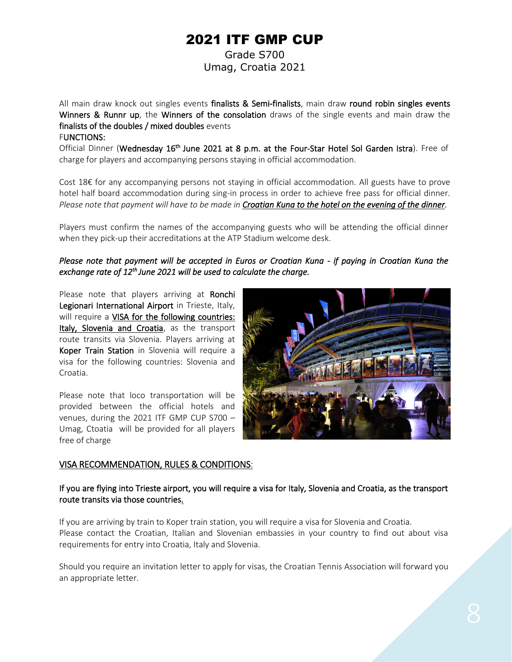Grade S700 Umag, Croatia 2021

All main draw knock out singles events finalists & Semi-finalists, main draw round robin singles events Winners & Runnr up, the Winners of the consolation draws of the single events and main draw the finalists of the doubles / mixed doubles events FUNCTIONS:

Official Dinner (Wednesday 16<sup>th</sup> June 2021 at 8 p.m. at the Four-Star Hotel Sol Garden Istra). Free of charge for players and accompanying persons staying in official accommodation.

Cost 18€ for any accompanying persons not staying in official accommodation. All guests have to prove hotel half board accommodation during sing-in process in order to achieve free pass for official dinner. *Please note that payment will have to be made in Croatian Kuna to the hotel on the evening of the dinner.*

Players must confirm the names of the accompanying guests who will be attending the official dinner when they pick-up their accreditations at the ATP Stadium welcome desk.

#### *Please note that payment will be accepted in Euros or Croatian Kuna - if paying in Croatian Kuna the exchange rate of 12th June 2021 will be used to calculate the charge.*

Please note that players arriving at Ronchi Legionari International Airport in Trieste, Italy, will require a VISA for the following countries: Italy, Slovenia and Croatia, as the transport route transits via Slovenia. Players arriving at Koper Train Station in Slovenia will require a visa for the following countries: Slovenia and Croatia.

Please note that loco transportation will be provided between the official hotels and venues, during the 2021 ITF GMP CUP S700 – Umag, Ctoatia will be provided for all players free of charge



#### VISA RECOMMENDATION, RULES & CONDITIONS:

#### If you are flying into Trieste airport, you will require a visa for Italy, Slovenia and Croatia, as the transport route transits via those countries.

If you are arriving by train to Koper train station, you will require a visa for Slovenia and Croatia. Please contact the Croatian, Italian and Slovenian embassies in your country to find out about visa requirements for entry into Croatia, Italy and Slovenia.

Should you require an invitation letter to apply for visas, the Croatian Tennis Association will forward you an appropriate letter.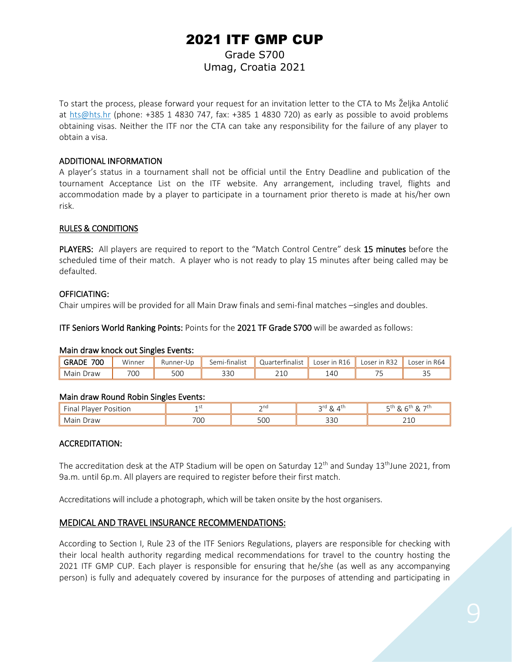### 2021 ITF GMP CUP Grade S700 Umag, Croatia 2021

To start the process, please forward your request for an invitation letter to the CTA to Ms Željka Antolić at [hts@hts.hr](mailto:hts@hts.hr) (phone: +385 1 4830 747, fax: +385 1 4830 720) as early as possible to avoid problems obtaining visas. Neither the ITF nor the CTA can take any responsibility for the failure of any player to obtain a visa.

#### ADDITIONAL INFORMATION

A player's status in a tournament shall not be official until the Entry Deadline and publication of the tournament Acceptance List on the ITF website. Any arrangement, including travel, flights and accommodation made by a player to participate in a tournament prior thereto is made at his/her own risk.

#### RULES & CONDITIONS

PLAYERS: All players are required to report to the "Match Control Centre" desk 15 minutes before the scheduled time of their match. A player who is not ready to play 15 minutes after being called may be defaulted.

#### OFFICIATING:

Chair umpires will be provided for all Main Draw finals and semi-final matches –singles and doubles.

ITF Seniors World Ranking Points: Points for the 2021 TF Grade S700 will be awarded as follows:

#### Main draw knock out Singles Events:

| 700<br><b>GRADE</b> | Winner | Runner<br>r-Un | Semi-finalist | <b>Quarterfinalist</b> | <b>R16</b><br>Loser in | R32<br>oser | Loser in R64 |
|---------------------|--------|----------------|---------------|------------------------|------------------------|-------------|--------------|
| Main Draw           | 70C    | 500            | 330           | $\bigcap$<br>∠⊥∪       | 14C                    |             | --           |

#### Main draw Round Robin Singles Events:

| $ -$<br>$\sim$<br>` | .             | ้าnd | $\mathsf{r}$<br>⊿tr<br>~ | 7tı.             |
|---------------------|---------------|------|--------------------------|------------------|
| )raw                | $\neg \wedge$ | ٦Ω٢, | $\sim$ $\sim$            | $\sim$ $\lambda$ |
|                     | <u>UU</u>     |      | יכ כ                     |                  |

#### ACCREDITATION:

The accreditation desk at the ATP Stadium will be open on Saturday 12<sup>th</sup> and Sunday 13<sup>th</sup>June 2021, from 9a.m. until 6p.m. All players are required to register before their first match.

Accreditations will include a photograph, which will be taken onsite by the host organisers.

#### MEDICAL AND TRAVEL INSURANCE RECOMMENDATIONS:

According to Section I, Rule 23 of the ITF Seniors Regulations, players are responsible for checking with their local health authority regarding medical recommendations for travel to the country hosting the 2021 ITF GMP CUP. Each player is responsible for ensuring that he/she (as well as any accompanying person) is fully and adequately covered by insurance for the purposes of attending and participating in